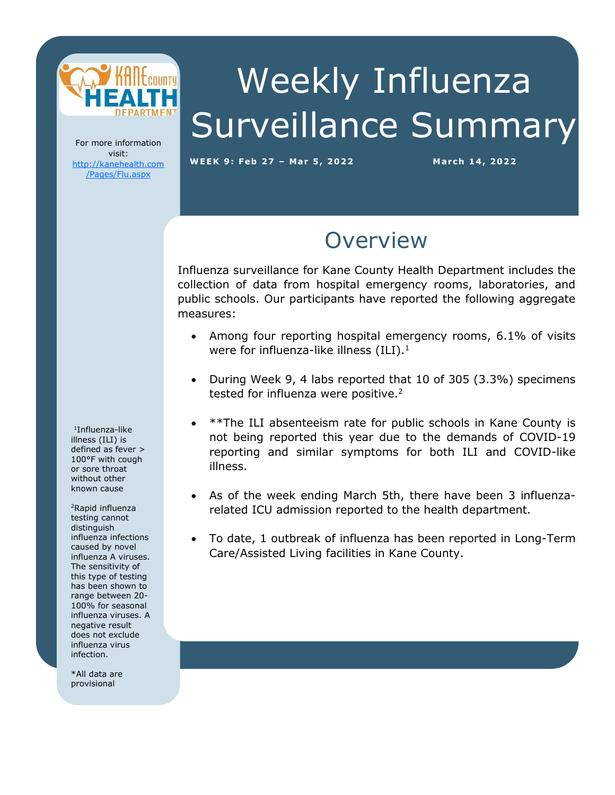

# Weekly Influenza Surveillance Summary

For more information visit: [http://kanehealth.com](http://kanehealth.com/Pages/Flu.aspx) [/Pages/Flu.aspx](http://kanehealth.com/Pages/Flu.aspx)

**WEEK 9: Feb 27 – Mar 5, 2 0 2 2 March 1 4, 2 0 22**

data that make this monitoring possible.

### **Overview**

Influenza surveillance for Kane County Health Department includes the collection of data from hospital emergency rooms, laboratories, and public schools. Our participants have reported the following aggregate measures:

- Among four reporting hospital emergency rooms, 6.1% of visits were for influenza-like illness  $(ILI).<sup>1</sup>$
- During Week 9, 4 labs reported that 10 of 305 (3.3%) specimens tested for influenza were positive.<sup>2</sup>
- \*\*The ILI absenteeism rate for public schools in Kane County is not being reported this year due to the demands of COVID-19 reporting and similar symptoms for both ILI and COVID-like illness.
- As of the week ending March 5th, there have been 3 influenzarelated ICU admission reported to the health department.
- To date, 1 outbreak of influenza has been reported in Long-Term Care/Assisted Living facilities in Kane County.

1 Influenza-like illness (ILI) is defined as fever > 100°F with cough or sore throat without other known cause

<sup>2</sup>Rapid influenza testing cannot distinguish influenza infections caused by novel influenza A viruses. The sensitivity of this type of testing has been shown to range between 20- 100% for seasonal influenza viruses. A negative result does not exclude influenza virus infection.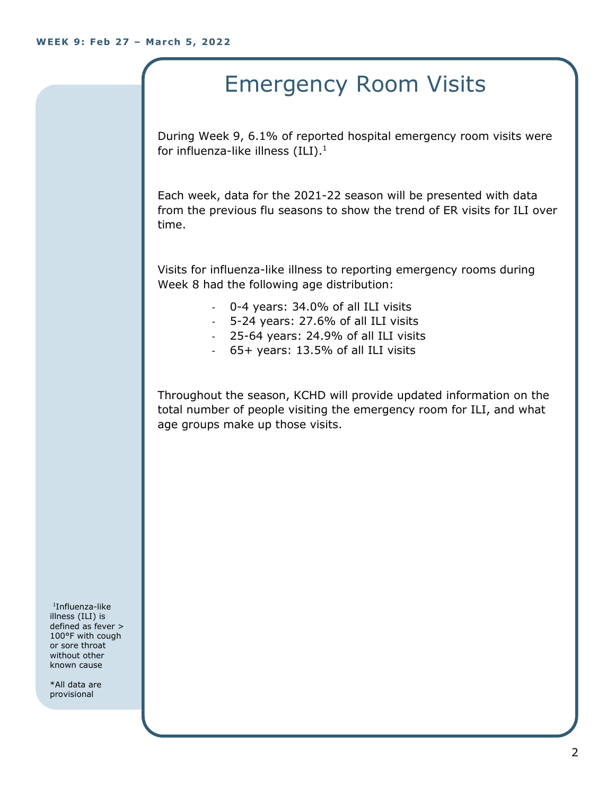## Emergency Room Visits

During Week 9, 6.1% of reported hospital emergency room visits were for influenza-like illness  $(III).<sup>1</sup>$ 

Each week, data for the 2021-22 season will be presented with data from the previous flu seasons to show the trend of ER visits for ILI over time.

Visits for influenza-like illness to reporting emergency rooms during Week 8 had the following age distribution:

- 0-4 years: 34.0% of all ILI visits
- 5-24 years: 27.6% of all ILI visits
- 25-64 years: 24.9% of all ILI visits
- 65+ years: 13.5% of all ILI visits

Throughout the season, KCHD will provide updated information on the total number of people visiting the emergency room for ILI, and what age groups make up those visits.

1 Influenza-like illness (ILI) is defined as fever > 100°F with cough or sore throat without other known cause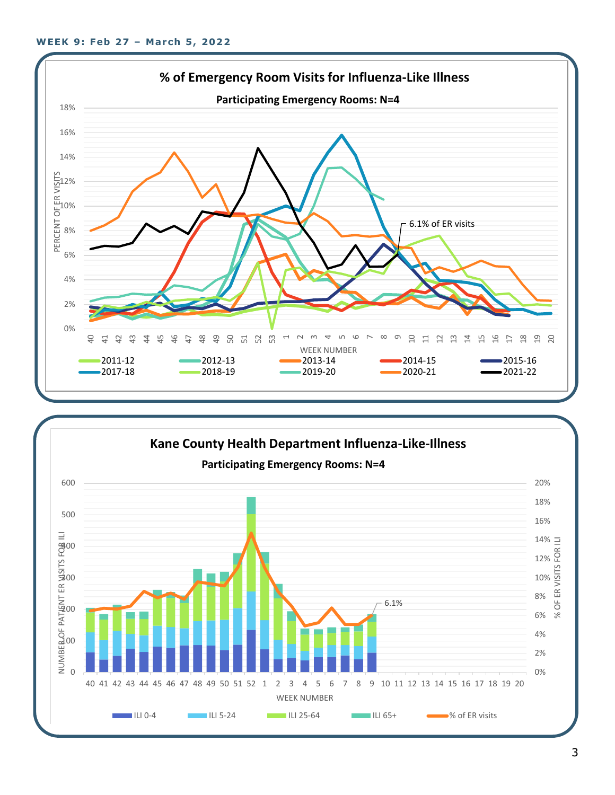

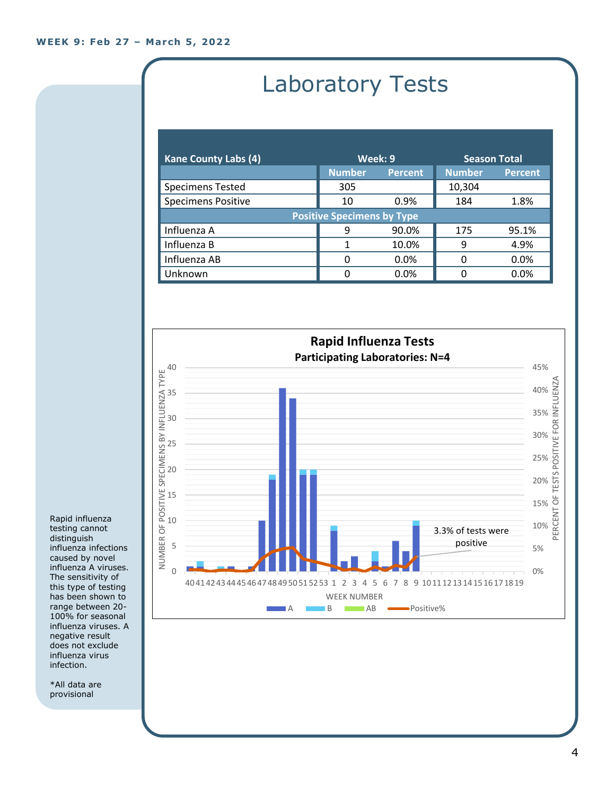# Laboratory Tests

| <b>Kane County Labs (4)</b>       | Week: 9       |                | <b>Season Total</b> |                |  |
|-----------------------------------|---------------|----------------|---------------------|----------------|--|
|                                   | <b>Number</b> | <b>Percent</b> | <b>Number</b>       | <b>Percent</b> |  |
| <b>Specimens Tested</b>           | 305           |                | 10,304              |                |  |
| <b>Specimens Positive</b>         | 10            | 0.9%           | 184                 | 1.8%           |  |
| <b>Positive Specimens by Type</b> |               |                |                     |                |  |
| Influenza A                       | q             | 90.0%          | 175                 | 95.1%          |  |
| Influenza B                       |               | 10.0%          | 9                   | 4.9%           |  |
| Influenza AB                      | 0             | 0.0%           | O                   | 0.0%           |  |
| Unknown                           | 0             | $0.0\%$        |                     | 0.0%           |  |



Rapid influenza testing cannot distinguish influenza infections caused by novel influenza A viruses. The sensitivity of this type of testing has been shown to range between 20- 100% for seasonal influenza viruses. A negative result does not exclude influenza virus infection.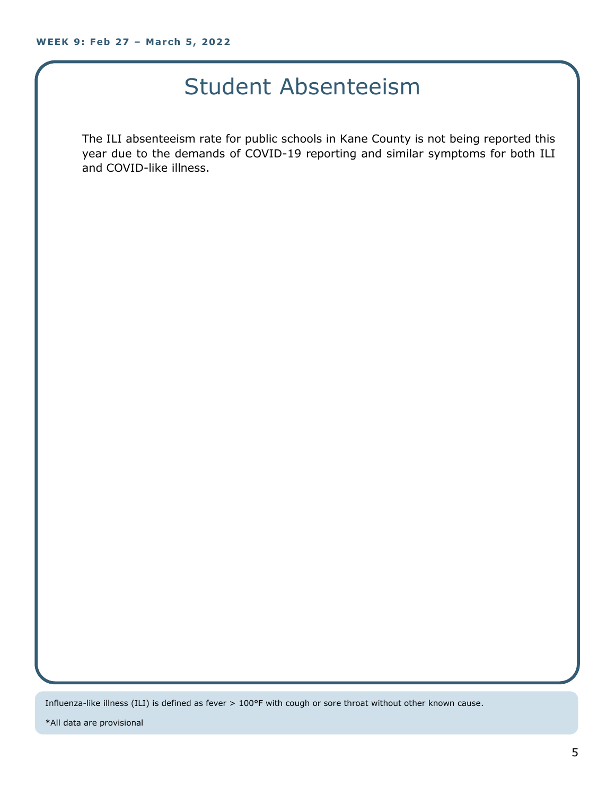### Student Absenteeism

The ILI absenteeism rate for public schools in Kane County is not being reported this year due to the demands of COVID-19 reporting and similar symptoms for both ILI and COVID-like illness.

Influenza-like illness (ILI) is defined as fever > 100°F with cough or sore throat without other known cause.